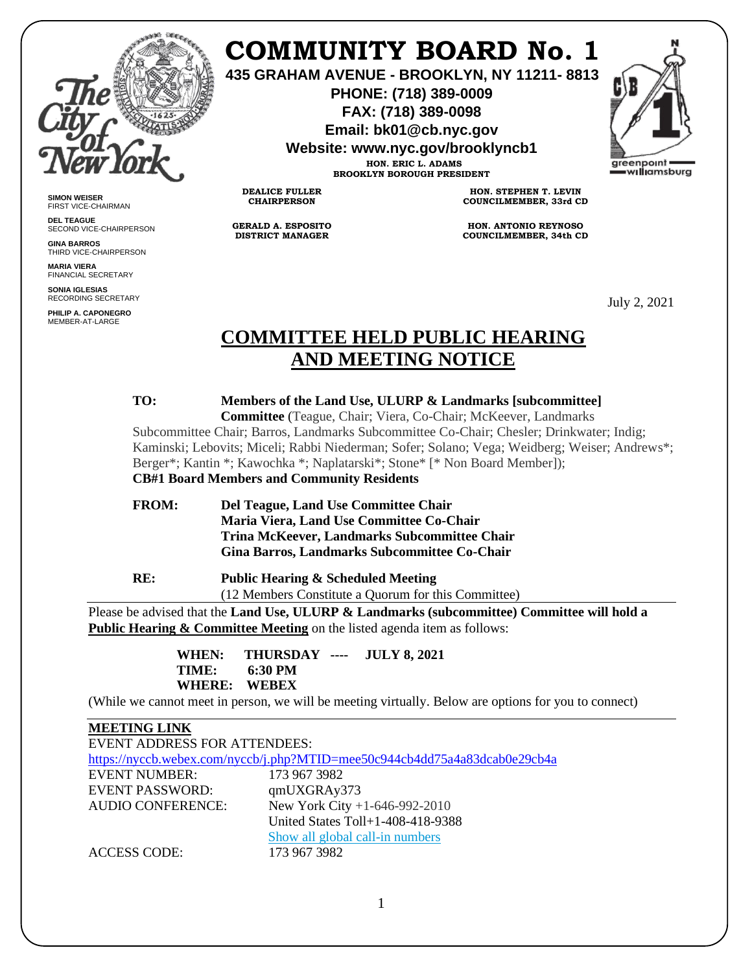

**SIMON WEISER** FIRST VICE-CHAIRMAN **DEL TEAGUE**

**GINA BARROS** THIRD VICE-CHAIRPERSON

**MARIA VIERA** FINANCIAL SECRETARY **SONIA IGLESIAS** RECORDING SECRETARY **PHILIP A. CAPONEGRO** MEMBER-AT-LARGE

SECOND VICE-CHAIRPERSON

# **COMMUNITY BOARD No. 1**

**435 GRAHAM AVENUE - BROOKLYN, NY 11211- 8813**

**PHONE: (718) 389-0009 FAX: (718) 389-0098**

**Email: bk01@cb.nyc.gov**

**Website: www.nyc.gov/brooklyncb1**

**HON. ERIC L. ADAMS BROOKLYN BOROUGH PRESIDENT**

**DEALICE FULLER CHAIRPERSON**

**GERALD A. ESPOSITO DISTRICT MANAGER**

**HON. STEPHEN T. LEVIN COUNCILMEMBER, 33rd CD**

**HON. ANTONIO REYNOSO COUNCILMEMBER, 34th CD**

July 2, 2021

# **COMMITTEE HELD PUBLIC HEARING AND MEETING NOTICE**

# **TO: Members of the Land Use, ULURP & Landmarks [subcommittee]**

 **Committee** (Teague, Chair; Viera, Co-Chair; McKeever, Landmarks Subcommittee Chair; Barros, Landmarks Subcommittee Co-Chair; Chesler; Drinkwater; Indig; Kaminski; Lebovits; Miceli; Rabbi Niederman; Sofer; Solano; Vega; Weidberg; Weiser; Andrews\*; Berger\*; Kantin \*; Kawochka \*; Naplatarski\*; Stone\* [\* Non Board Member]); **CB#1 Board Members and Community Residents**

**FROM: Del Teague, Land Use Committee Chair**

 **Maria Viera, Land Use Committee Co-Chair Trina McKeever, Landmarks Subcommittee Chair Gina Barros, Landmarks Subcommittee Co-Chair**

**RE: Public Hearing & Scheduled Meeting** (12 Members Constitute a Quorum for this Committee)

Please be advised that the **Land Use, ULURP & Landmarks (subcommittee) Committee will hold a Public Hearing & Committee Meeting** on the listed agenda item as follows:

> **WHEN: THURSDAY ---- JULY 8, 2021 TIME: 6:30 PM WHERE: WEBEX**

(While we cannot meet in person, we will be meeting virtually. Below are options for you to connect)

#### **MEETING LINK**

| <b>EVENT ADDRESS FOR ATTENDEES:</b>                                        |                                   |
|----------------------------------------------------------------------------|-----------------------------------|
| https://nyccb.webex.com/nyccb/j.php?MTID=mee50c944cb4dd75a4a83dcab0e29cb4a |                                   |
| <b>EVENT NUMBER:</b>                                                       | 173 967 3982                      |
| <b>EVENT PASSWORD:</b>                                                     | qmUXGRAy373                       |
| <b>AUDIO CONFERENCE:</b>                                                   | New York City +1-646-992-2010     |
|                                                                            | United States Toll+1-408-418-9388 |
|                                                                            | Show all global call-in numbers   |
| <b>ACCESS CODE:</b>                                                        | 173 967 3982                      |

1